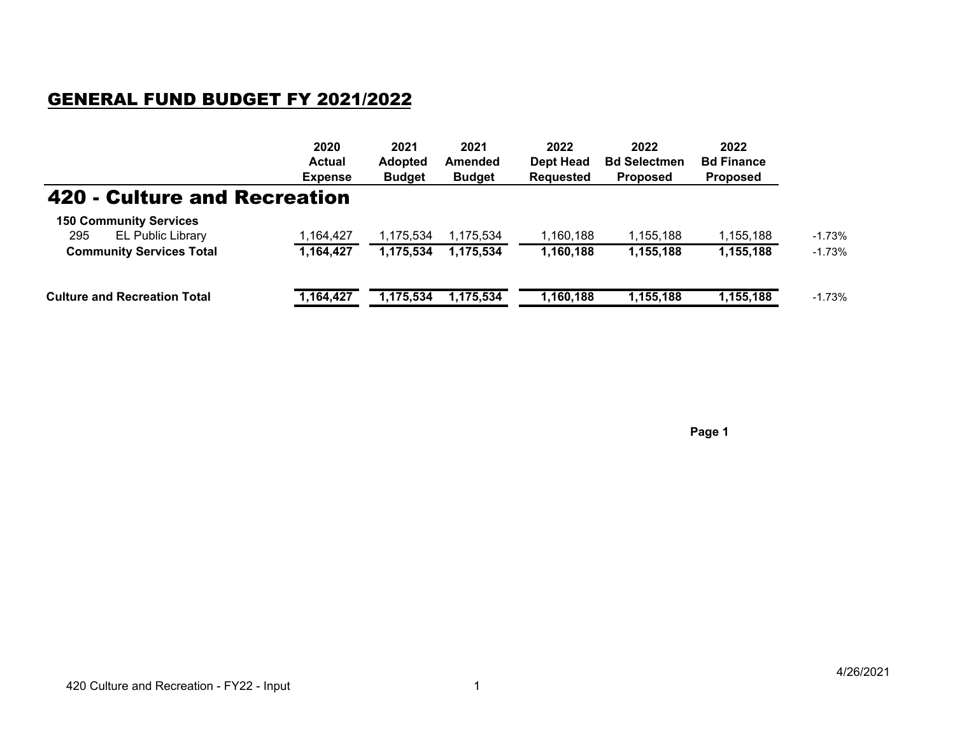## GENERAL FUND BUDGET FY 2021/2022

|                                     | 2020<br><b>Actual</b><br><b>Expense</b> | 2021<br><b>Adopted</b><br><b>Budget</b> | 2021<br>Amended<br><b>Budget</b> | 2022<br>Dept Head<br><b>Requested</b> | 2022<br><b>Bd Selectmen</b><br><b>Proposed</b> | 2022<br><b>Bd Finance</b><br><b>Proposed</b> |          |
|-------------------------------------|-----------------------------------------|-----------------------------------------|----------------------------------|---------------------------------------|------------------------------------------------|----------------------------------------------|----------|
|                                     |                                         |                                         |                                  |                                       |                                                |                                              |          |
|                                     |                                         |                                         |                                  |                                       |                                                |                                              |          |
| 420 - Culture and Recreation        |                                         |                                         |                                  |                                       |                                                |                                              |          |
| <b>150 Community Services</b>       |                                         |                                         |                                  |                                       |                                                |                                              |          |
| 295<br><b>EL Public Library</b>     | 1,164,427                               | 1,175,534                               | 1,175,534                        | 160,188⊱ا                             | 1,155,188                                      | 1,155,188                                    | $-1.73%$ |
| <b>Community Services Total</b>     | 1,164,427                               | 1,175,534                               | 1,175,534                        | 1,160,188                             | 1,155,188                                      | 1,155,188                                    | $-1.73%$ |
| <b>Culture and Recreation Total</b> | 1,164,427                               | 1,175,534                               | 1,175,534                        | 1,160,188                             | 1,155,188                                      | 1,155,188                                    | $-1.73%$ |

**Page 1**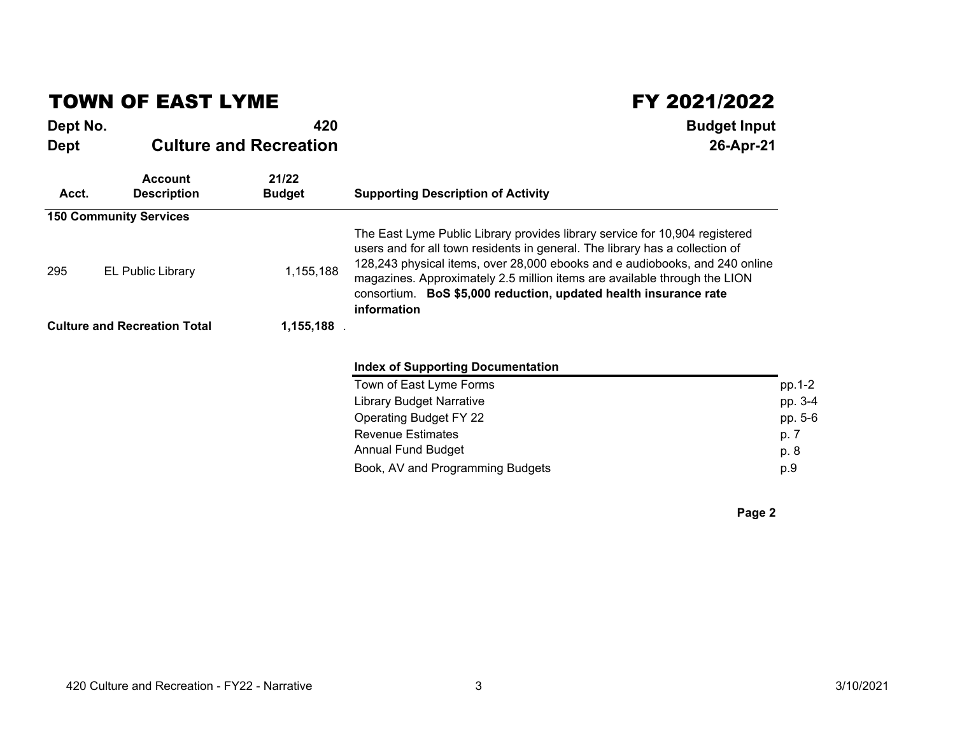## TOWN OF EAST LYME

**FY 2021/2022**<br>Budget Input **Dept No. 420 Budget Input Dept Culture and Recreation 26-Apr-21 Account 21/22 Acct. Description Budget Supporting Description of Activity 150 Community Services**295 **EL Public Library** 1,155,188 The East Lyme Public Library provides library service for 10,904 registered users and for all town residents in general. The library has a collection of 128,243 physical items, over 28,000 ebooks and e audiobooks, and 240 online magazines. Approximately 2.5 million items are available through the LION consortium. **BoS \$5,000 reduction, updated health insurance rate informationCulture and Recreation Total 1,155,188** . **Index of Supporting Documentation**Town of East Lyme Forms $\mathsf{s}$  pp.1-2 pp. 3-4 Library Budget Narrativee  $pp. 3-4$ Operating Budget FY 222 pp.  $5-6$ Revenue Estimates produced by the contract of the product produced product product product product product pro p. 8 Annual Fund Budgett de la posta de la posta de la posta de la posta de la posta de la posta de la posta de la posta de la posta p.9 Book, AV and Programming Budgets $p.9$ 

**Page 2**